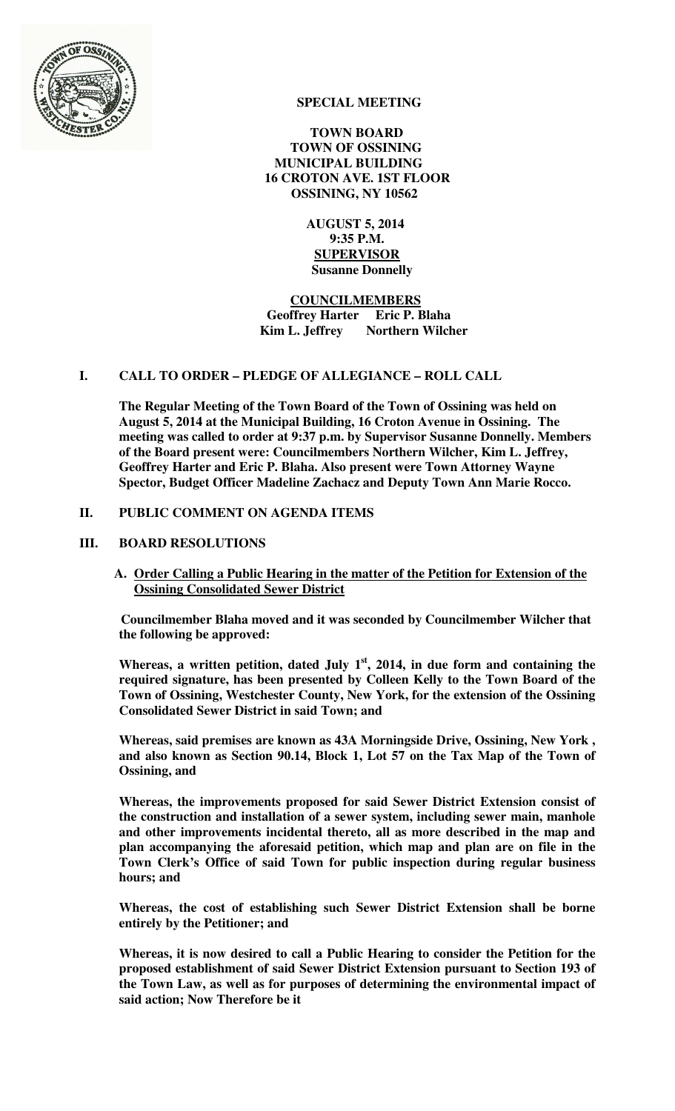

# **SPECIAL MEETING**

 **TOWN BOARD TOWN OF OSSINING MUNICIPAL BUILDING 16 CROTON AVE. 1ST FLOOR OSSINING, NY 10562** 

> **AUGUST 5, 2014 9:35 P.M. SUPERVISOR Susanne Donnelly**

 **COUNCILMEMBERS Geoffrey Harter Eric P. Blaha Kim L. Jeffrey** Northern Wilcher

## **I. CALL TO ORDER – PLEDGE OF ALLEGIANCE – ROLL CALL**

**The Regular Meeting of the Town Board of the Town of Ossining was held on August 5, 2014 at the Municipal Building, 16 Croton Avenue in Ossining. The meeting was called to order at 9:37 p.m. by Supervisor Susanne Donnelly. Members of the Board present were: Councilmembers Northern Wilcher, Kim L. Jeffrey, Geoffrey Harter and Eric P. Blaha. Also present were Town Attorney Wayne Spector, Budget Officer Madeline Zachacz and Deputy Town Ann Marie Rocco.** 

# **II. PUBLIC COMMENT ON AGENDA ITEMS**

## **III. BOARD RESOLUTIONS**

**A. Order Calling a Public Hearing in the matter of the Petition for Extension of the Ossining Consolidated Sewer District** 

**Councilmember Blaha moved and it was seconded by Councilmember Wilcher that the following be approved:** 

**Whereas, a written petition, dated July 1st, 2014, in due form and containing the required signature, has been presented by Colleen Kelly to the Town Board of the Town of Ossining, Westchester County, New York, for the extension of the Ossining Consolidated Sewer District in said Town; and** 

**Whereas, said premises are known as 43A Morningside Drive, Ossining, New York , and also known as Section 90.14, Block 1, Lot 57 on the Tax Map of the Town of Ossining, and** 

**Whereas, the improvements proposed for said Sewer District Extension consist of the construction and installation of a sewer system, including sewer main, manhole and other improvements incidental thereto, all as more described in the map and plan accompanying the aforesaid petition, which map and plan are on file in the Town Clerk's Office of said Town for public inspection during regular business hours; and**

**Whereas, the cost of establishing such Sewer District Extension shall be borne entirely by the Petitioner; and**

**Whereas, it is now desired to call a Public Hearing to consider the Petition for the proposed establishment of said Sewer District Extension pursuant to Section 193 of the Town Law, as well as for purposes of determining the environmental impact of said action; Now Therefore be it**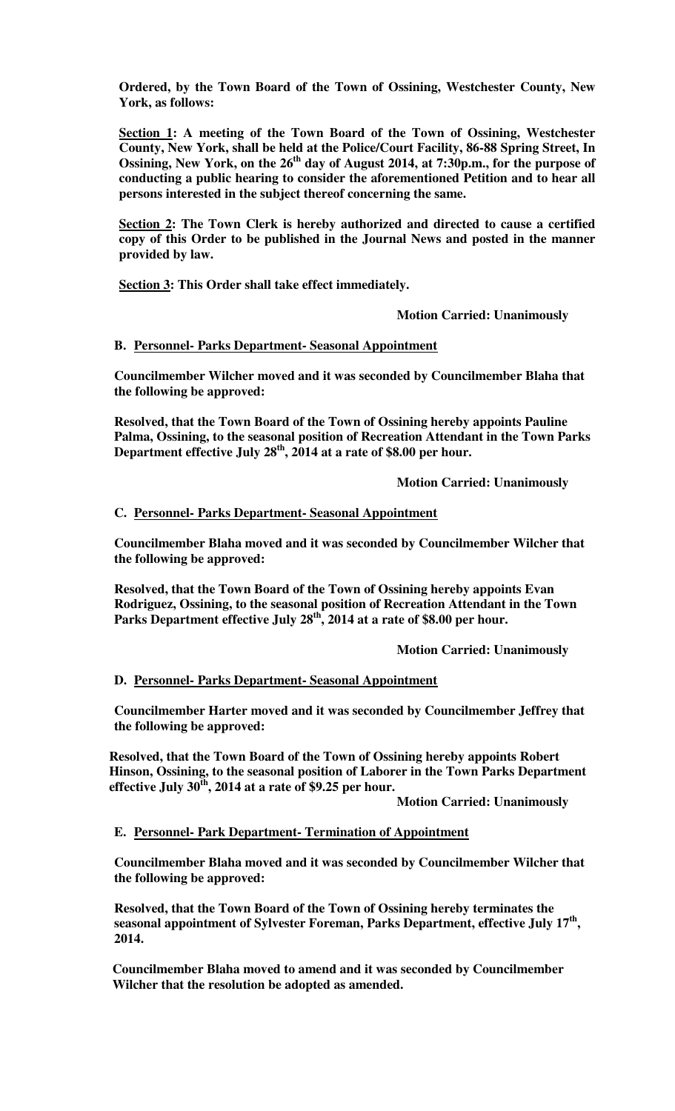**Ordered, by the Town Board of the Town of Ossining, Westchester County, New York, as follows:**

**Section 1: A meeting of the Town Board of the Town of Ossining, Westchester County, New York, shall be held at the Police/Court Facility, 86-88 Spring Street, In Ossining, New York, on the 26th day of August 2014, at 7:30p.m., for the purpose of conducting a public hearing to consider the aforementioned Petition and to hear all persons interested in the subject thereof concerning the same.**

**Section 2: The Town Clerk is hereby authorized and directed to cause a certified copy of this Order to be published in the Journal News and posted in the manner provided by law.**

**Section 3: This Order shall take effect immediately.** 

 **Motion Carried: Unanimously** 

### **B. Personnel- Parks Department- Seasonal Appointment**

**Councilmember Wilcher moved and it was seconded by Councilmember Blaha that the following be approved:** 

**Resolved, that the Town Board of the Town of Ossining hereby appoints Pauline Palma, Ossining, to the seasonal position of Recreation Attendant in the Town Parks Department effective July 28th, 2014 at a rate of \$8.00 per hour.** 

 **Motion Carried: Unanimously** 

### **C. Personnel- Parks Department- Seasonal Appointment**

**Councilmember Blaha moved and it was seconded by Councilmember Wilcher that the following be approved:** 

**Resolved, that the Town Board of the Town of Ossining hereby appoints Evan Rodriguez, Ossining, to the seasonal position of Recreation Attendant in the Town Parks Department effective July 28th, 2014 at a rate of \$8.00 per hour.** 

 **Motion Carried: Unanimously** 

#### **D. Personnel- Parks Department- Seasonal Appointment**

**Councilmember Harter moved and it was seconded by Councilmember Jeffrey that the following be approved:** 

**Resolved, that the Town Board of the Town of Ossining hereby appoints Robert Hinson, Ossining, to the seasonal position of Laborer in the Town Parks Department effective July 30th, 2014 at a rate of \$9.25 per hour.** 

 **Motion Carried: Unanimously** 

#### **E. Personnel- Park Department- Termination of Appointment**

**Councilmember Blaha moved and it was seconded by Councilmember Wilcher that the following be approved:** 

**Resolved, that the Town Board of the Town of Ossining hereby terminates the seasonal appointment of Sylvester Foreman, Parks Department, effective July 17th , 2014.** 

**Councilmember Blaha moved to amend and it was seconded by Councilmember Wilcher that the resolution be adopted as amended.**